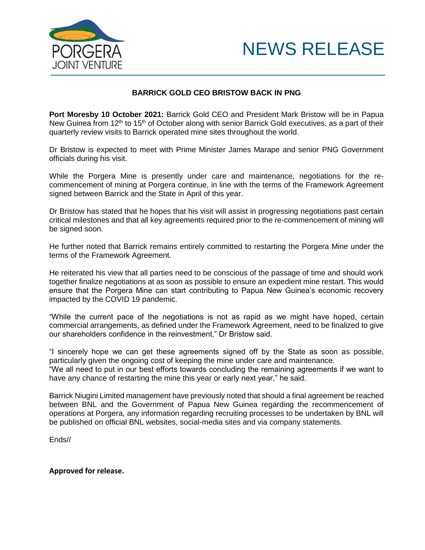



## **BARRICK GOLD CEO BRISTOW BACK IN PNG**

**Port Moresby 10 October 2021:** Barrick Gold CEO and President Mark Bristow will be in Papua New Guinea from  $12<sup>th</sup>$  to 15<sup>th</sup> of October along with senior Barrick Gold executives, as a part of their quarterly review visits to Barrick operated mine sites throughout the world.

Dr Bristow is expected to meet with Prime Minister James Marape and senior PNG Government officials during his visit.

While the Porgera Mine is presently under care and maintenance, negotiations for the recommencement of mining at Porgera continue, in line with the terms of the Framework Agreement signed between Barrick and the State in April of this year.

Dr Bristow has stated that he hopes that his visit will assist in progressing negotiations past certain critical milestones and that all key agreements required prior to the re-commencement of mining will be signed soon.

He further noted that Barrick remains entirely committed to restarting the Porgera Mine under the terms of the Framework Agreement.

He reiterated his view that all parties need to be conscious of the passage of time and should work together finalize negotiations at as soon as possible to ensure an expedient mine restart. This would ensure that the Porgera Mine can start contributing to Papua New Guinea's economic recovery impacted by the COVID 19 pandemic.

"While the current pace of the negotiations is not as rapid as we might have hoped, certain commercial arrangements, as defined under the Framework Agreement, need to be finalized to give our shareholders confidence in the reinvestment," Dr Bristow said.

"I sincerely hope we can get these agreements signed off by the State as soon as possible, particularly given the ongoing cost of keeping the mine under care and maintenance.

"We all need to put in our best efforts towards concluding the remaining agreements if we want to have any chance of restarting the mine this year or early next year," he said.

Barrick Niugini Limited management have previously noted that should a final agreement be reached between BNL and the Government of Papua New Guinea regarding the recommencement of operations at Porgera, any information regarding recruiting processes to be undertaken by BNL will be published on official BNL websites, social-media sites and via company statements.

Ends//

**Approved for release.**